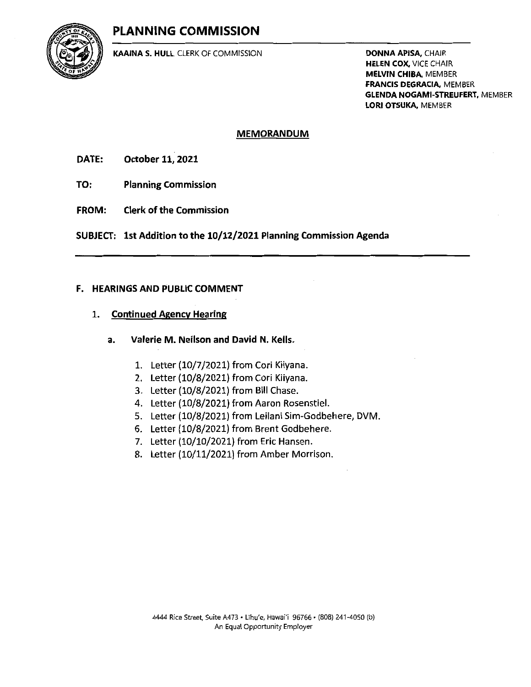# PLANNING COMMISSION



KAAINA S. HULL, CLERK OF COMMISSION **Example 2018 DONNA APISA, C**HAIR

**HELEN COX, VICE CHAIR** MELVIN CHIBA, MEMBER FRANCIS DEGRACIA, MEMBER **GLENDA NOGAMI-STREUFERT, MEMBER** LORI OTSUKA, MEMBER

#### MEMORANDUM

DATE: October 11, 2021

- TO: Planning Commission
- FROM: Clerk of the Commission

SUBJECT: Ist Addition to the 10/12/2021 Planning Commission Agenda

## F. HEARINGS AND PUBLIC COMMENT

## 1. Continued Agency Hearing

- a. Valerie M. Neilson and David N. Kells.
	- 1. Letter (10/7/2021) from Cori Kiiyana.
	- 2. Letter (10/8/2021) from Cori Kiiyana.
	- 3. Letter (10/8/2021) from Bill Chase.
	- 4. Letter (10/8/2021) from Aaron Rosenstiel.
	- 5. Letter (10/8/2021) from Leilani Sim-Godbehere, DVM.
	- 6. Letter (10/8/2021) from Brent Godbehere.
	- 7. Letter (10/10/2021) from Eric Hansen.
	- 8. Letter (10/11/2021) from Amber Morrison.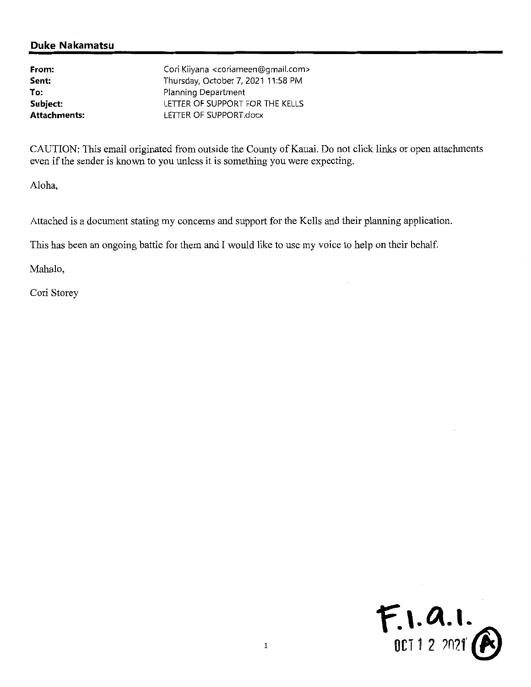# Duke Nakamatsu

| From:               | Cori Kiiyana <coriameen@gmail.com></coriameen@gmail.com> |
|---------------------|----------------------------------------------------------|
| Sent:               | Thursday, October 7, 2021 11:58 PM                       |
| To:                 | Planning Department                                      |
| Subject:            | LETTER OF SUPPORT FOR THE KELLS                          |
| <b>Attachments:</b> | LETTER OF SUPPORT.docx                                   |

CAUTION: This email originated from outside the County of Kauai. Do not click links or open attachments even if the sender is known to you unless it is something you were expecting.

Aloha,

Attached is a document stating my concerns and support for the Kells and their planning application.

This has been an ongoing battle for them and I would like to use my voice to help on their behalf.

Mahalo,

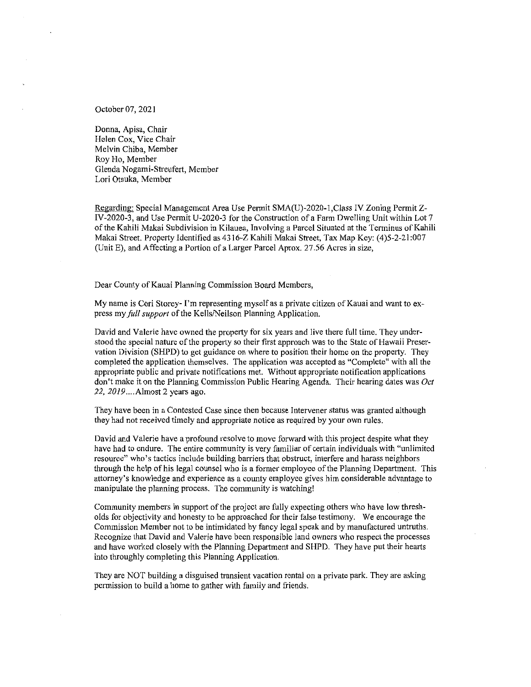October 07, 2021

Donna, Apisa, Chair Helen Cox, Vice Chair Melvin Chiba, Member Roy Ho, Member Glenda Nogami-Streufert, Member Lori Otsuka, Member

Regardins: Special Management Area Use Permit SMA(U)-2020-l,Class IV Zoning Permit Z-IV-2020-3, and Use Permit U-2020-3 for the Construction ofa Farm Dwelling Unit within Lot 7 ofthe Kahili Makai Subdivision in Kilauea, Involving a Parcel Situated at the Terminus ofKahili Makai Street. Property Identified as 4316-Z Kahili Makai Street, Tax Map Key: (4)5-2-21:007 (Unit E), and Affecting a Portion of a Larger Parcel Aprox. 27.56 Acres in size,

Dear County of Kauai Planning Commission Board Members,

My name is Cori Storey- I'm representing myself as a private citizen of Kauai and want to express my full support of the Kells/Neilson Planning Application.

David and Valerie have owned the property for six years and live there full time. They understood the special nature of the property so their first approach was to the State of Hawaii Preservation Division (SHPD) to get guidance on where to position their home on the property. They completed the application themselves. The application was accepted as "Complete" with all the appropriate public and private notifications met. Without appropriate notification applications don't make it on the Planning Commission Public Hearing Agenda. Their hearing dates was Oct 22, 2019....Almost 2 years ago.

They have been in a Contested Case since then because Intervener status was granted although they had not received timely and appropriate notice as required by your own rules.

David and Valerie have a profound resolve to move forward with this project despite what they have had to endure. The entire community is very familiar of certain individuals with "unlimited resource" who's tactics include building barriers that obstruct, interfere and harass neighbors through the help of his legal counsel who is a former employee of the Planning Department. This attomey's knowledge and experience as a county employee gives him considerable advantage to manipulate the planning process. The community is watching!

Community members in support of the project are fully expecting others who have low thresholds for objectivity and honesty to be approached for their false testimony. We encourage the Commission Member not to be intimidated by fancy legal speak and by manufactured untruths. Recognize that David and Valerie have been responsible land owners who respect the processes and have worked closely with the Planning Department and SHPD. They have put their hearts into throughly completing this Planning Application.

They are NOT building a disguised transient vacation rental on a private park. They are asking permission to build a home to gather with family and friends.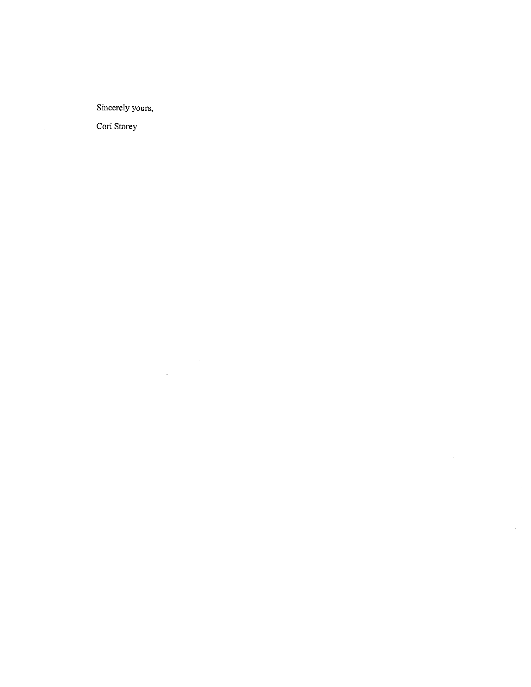Sincerely yours,

 $\mathcal{L}^{\text{max}}_{\text{max}}$ 

 $\mathbf{v}^{(1)}$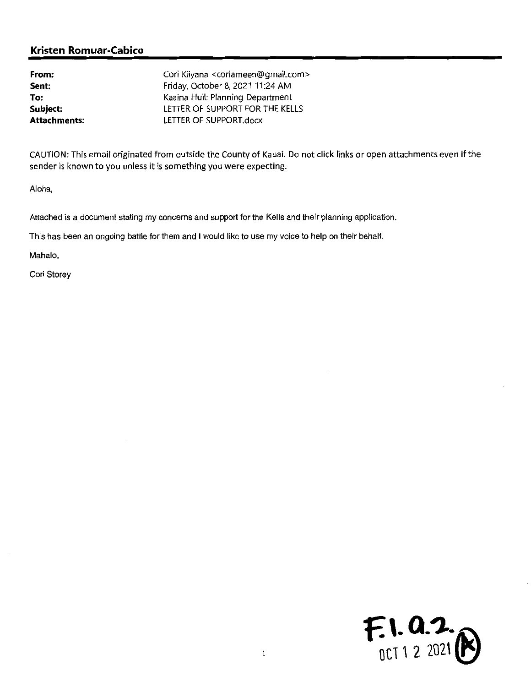| From:               | Cori Kiiyana <coriameen@gmail.com></coriameen@gmail.com> |
|---------------------|----------------------------------------------------------|
| Sent:               | Friday, October 8, 2021 11:24 AM                         |
| To:                 | Kaaina Hull; Planning Department                         |
| Subject:            | LETTER OF SUPPORT FOR THE KELLS                          |
| <b>Attachments:</b> | LETTER OF SUPPORT.docx                                   |

CAUTION: This email originated from outside the County of Kauai. Do not click links or open attachments even if the sender is known to you unless it is something you were expecting.

Aloha,

Attached is a document stating my concerns and support for the Kells and their planning application.

This has been an ongoing battle for them and <sup>1</sup> would like to use my voice to help on their behalf.

Mahalo,

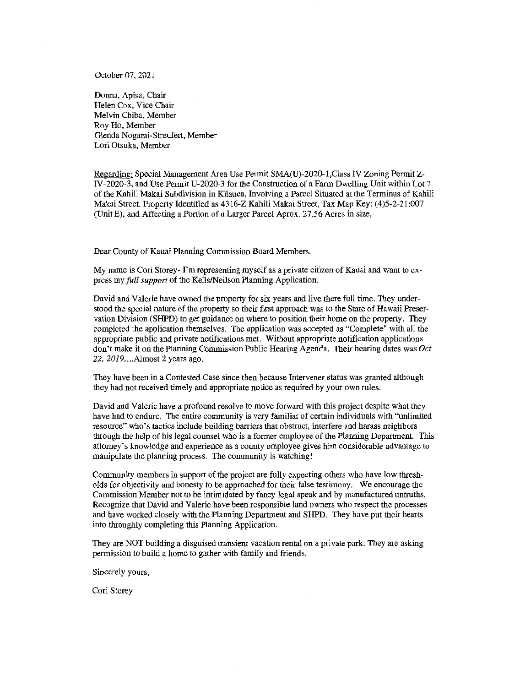October 07, 2021

Donna, Apisa, Chair Helen Cox, Vice Chair Melvin Chiba, Member Roy Ho, Member Glenda Nogami-Streufert, Member Lori Otsuka, Member

Regardmg: Special Management Area Use Permit SMA(U)-2020-l,CIass IV Zoning Permit Z-IV-2020-3, and Use Permit U-2020-3 for the Construction of a Farm Dwelling Unit within Lot 7 of fhe Kahili Makai Subdivision in Kilauea, Involvmg a Parcel Situated at fhe Terminus of Kahili Makai Street. Property Identified as 4316-Z Kahili Makai Street, Tax Map Key: (4)5-2-21:007 (Unit E), and Affecting a Portion of a Larger Parcel Aprox. 27.56 Acres in size,

Dear County of Kauai Planning Commission Board Members,

My name is Cori Storey- I'm representing myself as a private citizen of Kauai and want to express my *full support* of the Kells/Neilson Planning Application.

David and Valerie have owned the property for six years and live there full time. They understood fhe special nature of the property so fheir first approach was to the State of Hawaii Preservation Division (SHPD) to get guidance on where to position their home on the property. They completed the application themselves. The application was accepted as "Complete" with all the appropriate public and private notifications met. Without appropriate notification applications don't make it on the Planning Commission Public Hearing Agenda. Their hearing dates was Oct 22, 20/9....Almost <sup>2</sup> years ago.

They have been in a Contested Case since then because Intervener status was granted although they had not received timely and appropriate notice as required by your own rules.

David and Valerie have a profound resolve to move forward with fhis project despite what they have had to endure. The entire community is very familiar of certam mdividuals wifh "unlimited resource" who's tactics include building barriers that obstruct, interfere and harass neighbors through the help of his legal counsel who is a former employee of the Planning Department. This attomey's knowledge and experience as a county employee gives hun considerable advantage to manipulate the planning process. The community is watching!

Community members m support of ftie project are fully expecting others who have low fhresholds for objectivity and honesty to be approached for their false testimony. We encourage the Commission Member not to be intimidated by fancy legal speak and by manufactured untrufhs. Recognize that David and Valerie have been responsible land owners who respect the processes and have worked closely with the Planning Department and SHPD. They have put their hearts into throughly completing this Planning Application.

They are NOT building a disguised transient vacation rental on a private park. They are asking permission to build a home to gather with family and friends.

Sincerely yours,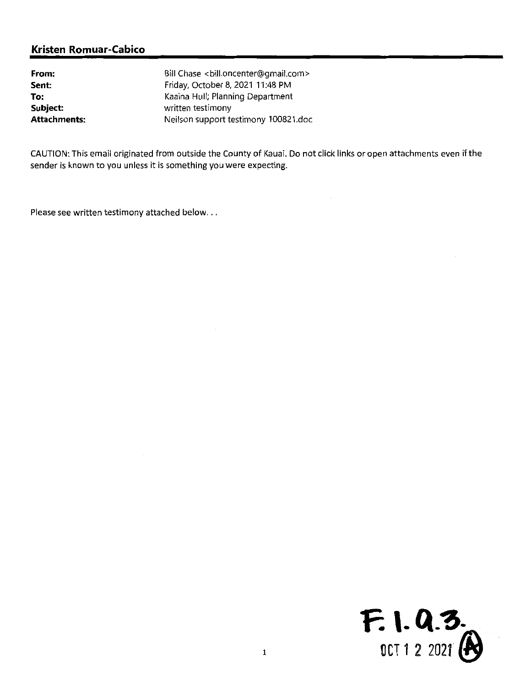| From:               | Bill Chase <bill.oncenter@gmail.com></bill.oncenter@gmail.com> |
|---------------------|----------------------------------------------------------------|
| Sent:               | Friday, October 8, 2021 11:48 PM                               |
| To:                 | Kaaina Hull; Planning Department                               |
| Subject:            | written testimony                                              |
| <b>Attachments:</b> | Neilson support testimony 100821.doc                           |

CAUTION: This email originated from outside the County of Kauai. Do not click links or open attachments even ifthe sender is known to you unless it is something you were expecting.

Please see written testimony attached below...

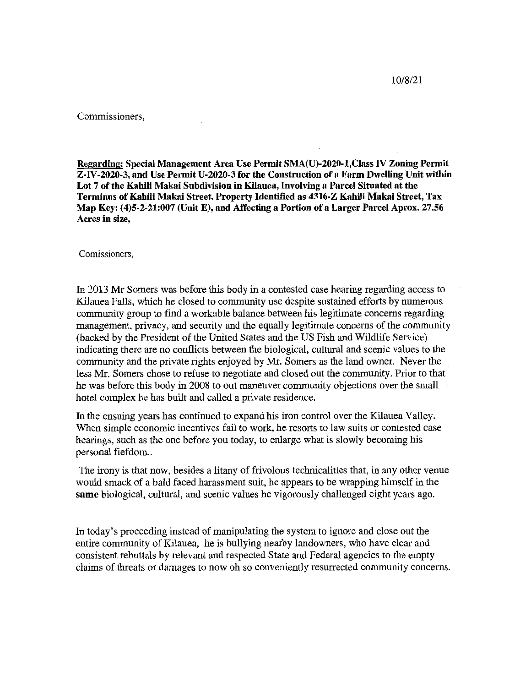10/8/21

Commissioners,

Reearding: Special Management Area Use Permit SMA(U)-2020-l,CIass FV Zoning Permit Z-IV-2020-3, and Use Permit U-2020-3 for the Construction of a Farm Dwelling Unit within Lot 7 of the Kahili Makai Subdivision in Kilauea, Involving a Parcel Situated at the Terminus ofKahili Makai Street. Property Identified as 4316-Z Kahili Makai Street, Tax Map Key: (4)5-2-21:007 (Unit E), and Affecting a Portion ofa Larger Parcel Aprox. 27.56 Acres in size,

Comissioners,

In 2013 Mr Somers was before this body in a contested case hearing regarding access to Kilauea Falls, which he closed to community use despite sustained efforts by numerous community group to find a workable balance between his legitimate concems regarding management, privacy, and security and the equally legitimate concems of the community (backed by the President of the United States and the US Fish and Wildlife Service) indicating there are no conflicts between the biological, cultural and scenic values to the community and the private rights enjoyed by Mr. Somers as the land owner. Never the less Mr. Somers chose to refuse to negotiate and closed out the community. Prior to that he was before this body in 2008 to out maneuver community objections over the small hotel complex he has built and called a private residence.

In the ensuing years has continued to expand his iron control over the Kilauea Valley. When simple economic incentives fail to work, he resorts to law suits or contested case hearings, such as the one before you today, to enlarge what is slowly becoming his personal fiefdom..

The irony is that now, besides a litany of frivolous technicalities that, in any other venue would smack of a bald faced harassment suit, he appears to be wrapping himself in the same biological, cultural, and scenic values he vigorously challenged eight years ago.

In today's proceeding instead of manipulating the system to ignore and close out the entire community of Kilauea, he is bullying nearby landowners, who have clear and consistent rebuttals by relevant and respected State and Federal agencies to the empty claims of threats or damages to now oh so conveniently resurrected community concems.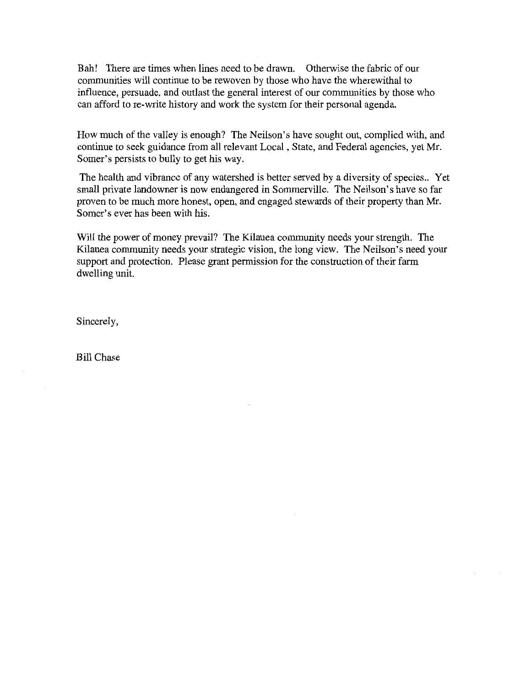Bah! There are times when lines need to be drawn. Otherwise the fabric of our communities will continue to be rewoven by those who have the wherewithal to influence, persuade, and outlast the general interest of our communities by those who can afford to re-write history and work the system for their personal agenda.

How much of the valley is enough? The Neilson's have sought out, complied with, and continue to seek guidance from all relevant Local, State, and Federal agencies, yet Mr. Somer's persists to bully to get his way.

The health and vibrance of any watershed is better served by a diversity of species.. Yet small private landowner is now endangered in Sommerville. The Neilson's have so far proven to be much more honest, open, and engaged stewards of their property than Mr. Somer's ever has been with his.

Will the power of money prevail? The Kilauea community needs your strength. The Kilauea community needs your strategic vision, the long view. The Neilson's need your support and protection. Please grant permission for the construction of their farm dwelling unit.

Sincerely,

Bill Chase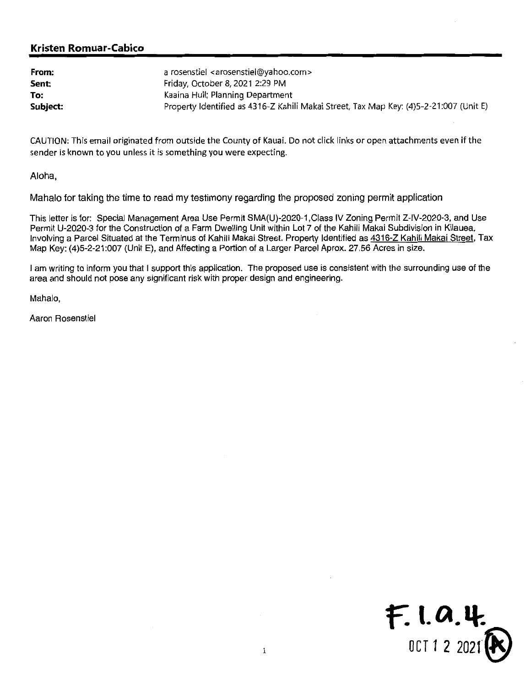| From:    | a rosenstiel <arosenstiel@yahoo.com></arosenstiel@yahoo.com>                           |
|----------|----------------------------------------------------------------------------------------|
| Sent:    | Friday, October 8, 2021 2:29 PM                                                        |
| To:      | Kaaina Hull; Planning Department                                                       |
| Subject: | Property Identified as 4316-Z Kahili Makai Street, Tax Map Key: (4)5-2-21:007 (Unit E) |

CAUTION: This email originated from outside the County of Kauai. Do not click links or open attachments even if the sender is known to you unless it is something you were expecting.

Aloha,

Mahalo for taking the time to read my testimony regarding the proposed zoning permit application

This letter is for: Special Management Area Use Permit SMA(U)-2020-1 ,Class IV Zoning Permit Z-IV-2020-3, and Use Permit U-2020-3 for the Construction of a Farm Dwelling Unit within Lot 7 of the Kahili Makai Subdivision in Kilauea, Involving a Parcel Situated at the Terminus of Kahili Makai Street. Property Identified as 4316-Z Kahili Makai Street, Tax Map Key: (4)5-2-21:007 (Unit E), and Affecting a Portion of a Larger Parcel Aprox. 27.56 Acres in size.

<sup>1</sup> am writing to inform you that <sup>I</sup> support this application. The proposed use is consistent with the surrounding use of the area and should not pose any significant risk with proper design and engineering.

Mahalo,

Aaron Rosenstiel

 $F.$  1. 0. 4. OCT <sup>1</sup> 2 20211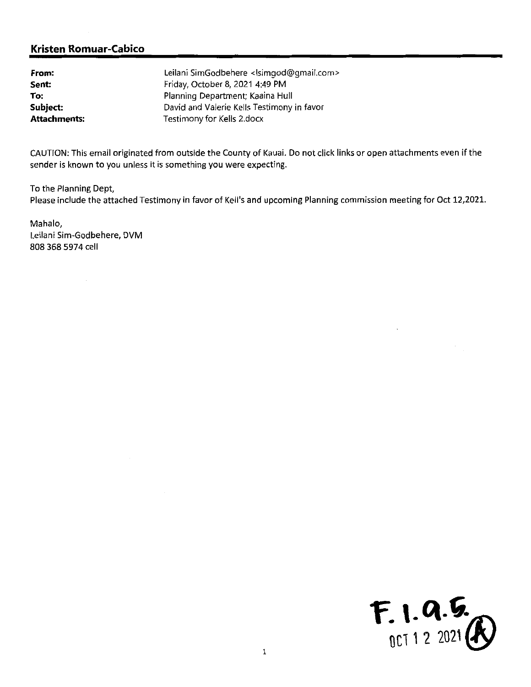| From:               | Leilani SimGodbehere <lsimgod@gmail.com></lsimgod@gmail.com> |
|---------------------|--------------------------------------------------------------|
| Sent:               | Friday, October 8, 2021 4:49 PM                              |
| To:                 | Planning Department; Kaaina Hull                             |
| Subject:            | David and Valerie Kells Testimony in favor                   |
| <b>Attachments:</b> | Testimony for Kells 2.docx                                   |

CAUTION: This email originated from outside the County of Kauai. Do not click links or open attachments even if the sender is known to you unless it is something you were expecting.

To the Planning Dept,

Please include the attached Testimony in favor of Kell's and upcoming Planning commission meeting for Oct 12,2021.

Mahalo, Leilani Sim-Godbehere, DVM 808 368 5974 cell

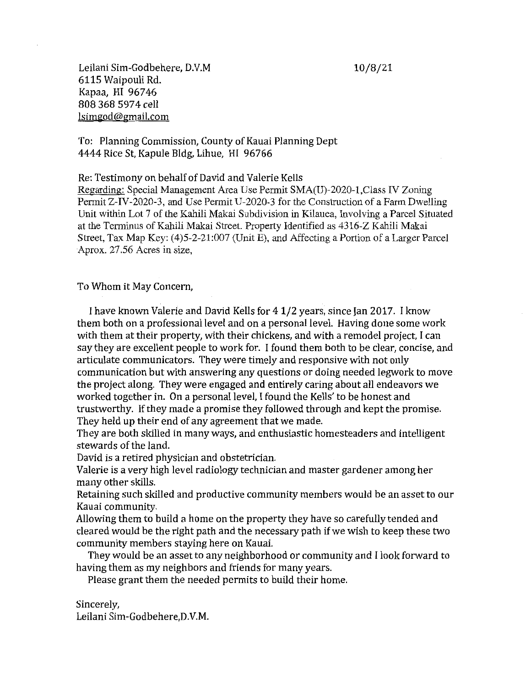Leilani Sim-Godbehere, D.V.M 10/8/21 6115 Waipouli Rd. Kapaa, HI 96746 808 368 5974 cell lsimgod@gmail.com

### To: Planning Commission, County of Kauai Planning Dept 4444 Rice St, Kapule Bldg, Lihue, HI 96766

Re: Testimony on behalf of David and Valerie Kells

Regarding: Special Management Area Use Permit SMA(U)-2020-1, Class IV Zoning Permit Z-IV-2020-3, and Use Permit U-2020-3 for the Construction of a Farm Dwelling Unit within Lot 7 of the Kahili Makai Subdivisioa in Kilauea, Involving a Parcel Situated at the Terminus of Kahili Makai Street. Property Identified as 4316-Z Kahili Makai Street, Tax Map Key: (4)5-2-21:007 (Unit E), and Affecting a Portion of a Larger Parcel Aprox. 27.56 Acres in size,

To Whom it May Concern,

<sup>I</sup> have known Valerie and David Kells for 4 1/2 years, since Jan 2017. <sup>I</sup> know them both on a professional level and on a personal level. Having done some work with them at their property, with their chickens, and with a remodel project, <sup>I</sup> can say they are excellent people to work for. <sup>I</sup> found them both to be clear, concise, and articulate communicators. They were timely and responsive with not only communication but with answering any questions or doing needed legwork to move the project along. They were engaged and entirely caring about all endeavors we worked together in. On a personal level, <sup>I</sup> found the Kells' to be honest and trustworthy. If they made a promise they followed through and kept the promise. They held up their end of any agreement that we made.

They are both skilled in many ways, and enthusiastic homesteaders and intelligent stewards of the land.

David is a retired physician and obstetrician.

Valerie is a very high level radiology technician and master gardener among her many other skills.

Retaining such skilled and productive community members would be an asset to our Kauai community.

Allowing them to build a home on the property they have so carefully tended and cleared would be the right path and the necessary path if we wish to keep these two community members staying here on Kauai.

They would be an asset to any neighborhood or community and <sup>I</sup> look forward to having them as my neighbors and friends for many years.

Please grant them the needed permits to build their home.

Sincerely, Leilani Sim-Godbehere,D.V.M.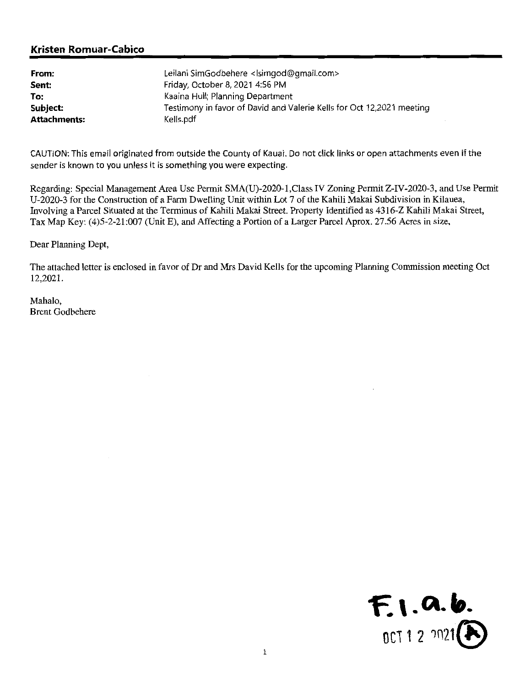| From:               | Leilani SimGodbehere <lsimgod@gmail.com></lsimgod@gmail.com>          |
|---------------------|-----------------------------------------------------------------------|
| Sent:               | Friday, October 8, 2021 4:56 PM                                       |
| To:                 | Kaaina Hull; Planning Department                                      |
| Subject:            | Testimony in favor of David and Valerie Kells for Oct 12,2021 meeting |
| <b>Attachments:</b> | Kells.pdf                                                             |

CAUTION: This email originated from outside the County of Kauai. Do not click links or open attachments even if the sender is known to you unless it is something you were expecting.

Regarding: Special Management Area Use Permit SMA(U)-2020-l,Class IV Zoning Permit Z-IV-2020-3, and Use Permit U-2020-3 for the Construction of a Fami Dwelling Unit within Lot 7 of the Kahili Makai Subdivision in Kilauea, Involving a Parcel Situated at the Terminus of Kahili Makai Street. Property Identified as 4316-Z Kahili Makai Street, Tax Map Key: (4)5-2-21:007 (Unit E), and Affecting a Portion of a Larger Parcel Aprox. 27.56 Acres in size,

Dear Planning Dept,

The attached letter is enclosed in favor of Dr and Mrs David Kells for the upcoming Planning Commission meeting Oct 12,2021.

Mahalo, Brent Godbehere

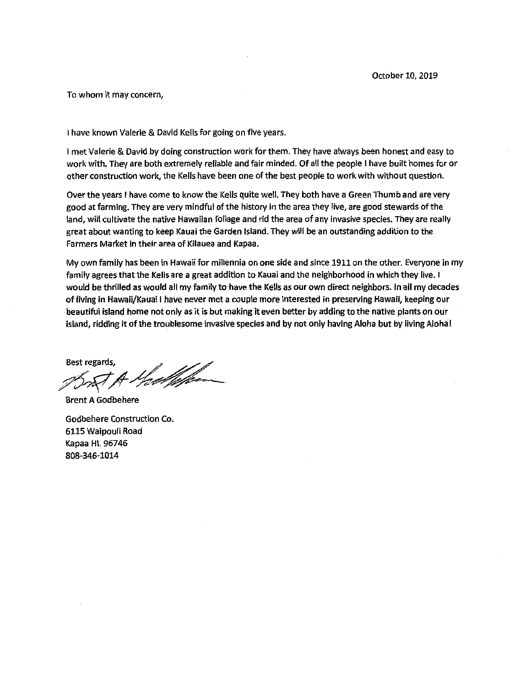To whom it may concern,

<sup>I</sup> have known Valerie & David Kells for going on five years.

<sup>1</sup> met Valerie & David by doing construction work for them. They have always been honest and easy to work with. They are both extremely reliable and fair minded. Of all the people <sup>1</sup> have built homes for or other construction work, the Kells have been one ofthe best people to work with without question.

Over the years <sup>1</sup> have come to know the Kells quite well. They both have <sup>a</sup> Green Thumb and are very good at farming. They are very mindful of the history in the area they live, are good stewards of the land, will cultivate the native Hawaiian foliage and rid the area of any invasive species. They are really great about wantlng to keep Kauai the Garden Island. They will be an outstanding addition to the Farmers Market in their area of Kilauea and Kapaa.

My own family has been in Hawaii for millennia on one side and since 1911 on the other. Everyone in my family agrees that the Kells are a great addition to Kauai and the neighborhood in which they live. I would be thrilled as would all my family to have the Kells as our own direct neighbors. In all my decades of tlving in Hawaii/KauaI <sup>1</sup> have never met <sup>a</sup> couple more interested in preserving Hawall, keeping our beautiful island home not only as it is but making it even better by adding to thenative plants on our island, ridding it of the troublesome invasive species and by not only having Aloha but by living Aloha!

Best regards, <sup>U</sup>re*d fil*e-

Brent A Godbehere

Godbehere Construction Co. 6115 Waipouli Road Kapaa Hl.96746 808-346-1014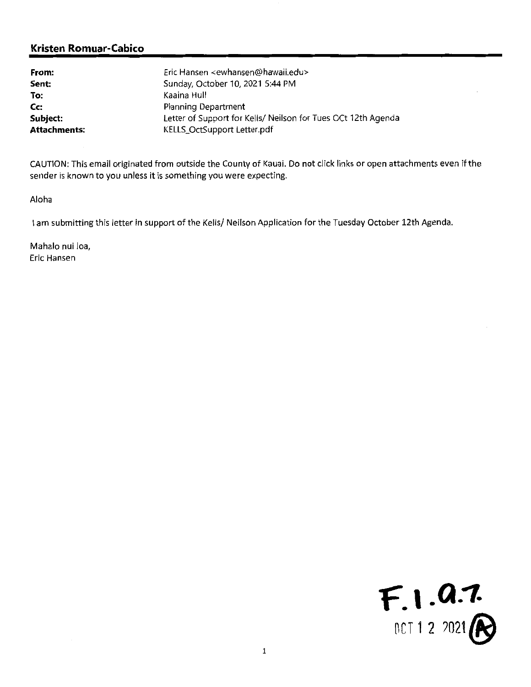| From:               | Eric Hansen <ewhansen@hawaii.edu></ewhansen@hawaii.edu>       |
|---------------------|---------------------------------------------------------------|
| Sent:               | Sunday, October 10, 2021 5:44 PM                              |
| To:                 | Kaaina Hull                                                   |
| Cc:                 | Planning Department                                           |
| Subject:            | Letter of Support for Kells/ Neilson for Tues OCt 12th Agenda |
| <b>Attachments:</b> | KELLS_OctSupport Letter.pdf                                   |

CAUTION: This email originated from outside the County of Kauai. Do not click links or open attachments even if the sender is known to you unless it is something you were expecting.

Aloha

<sup>I</sup> am submitting this letter in support of the Kells/ Neilson Application for the Tuesday October 12th Agenda.

Mahalo nui loa, Eric Hansen

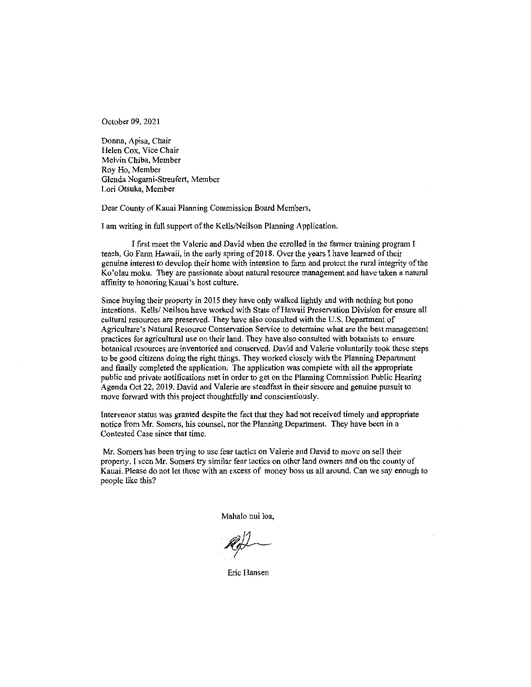October 09, 2021

Donna, Apisa, Chair Helen Cox, Vice Chair Melvin Chiba, Member Roy Ho, Member Glenda Nogami-Streufert, Member Lori Otsuka, Member

Dear County of Kauai Planning Commission Board Members,

I am writing in full support of the Kells/Neilson Planning Application.

I first meet the Valerie and David when the enrolled in the farmer training program I teach, Go Farm Hawaii, in the early spring of 2018. Over the years I have learned of their genuine interest to develop their home with intension to farm and protect the rural integrity of the Ko'olau moku. They are passionate about natural resource management and have taken a natural affinity to honoring Kauai's host culture.

Since buying their property in 2015 they have only walked lightly and with nothing but pono intentions. Kells/Neilson have worked with State of Hawaii Preservation Division for ensure all cultural resources are preserved. They have also consulted with the U.S. Department of Agriculture's Natural Resource Conservation Service to determine what are the best management practices for agricultural use on their land. They have also consulted with botanists to ensure botanical resources are inventoried and conserved. David and Valerie voluntarily took these steps to be good citizens doing the right things. They worked closely with the Planning Department and finally completed the application. The application was complete with all the appropriate public and private notifications met in order to get on the Planning Commission Public Hearing Agenda Oct 22, 2019. David and Valerie are steadfast in their sincere and genuine pursuit to move forward with this project thoughtfully and conscientiously.

Intervenor status was granted despite the fact that they had not received tunely and appropriate notice from Mr. Somers, his counsel, nor the Planning Department. They have been in a Contested Case since that time.

Mr. Somers has been trying to use fear tactics on Valerie and David to move on sell their property. I seen Mr. Somers try similar fear tactics on other land owners and on the county of Kauai. Please do not let those with an excess of money boss us all around. Can we say enough to people like this?

Mahalo nui loa,

Eric Hansen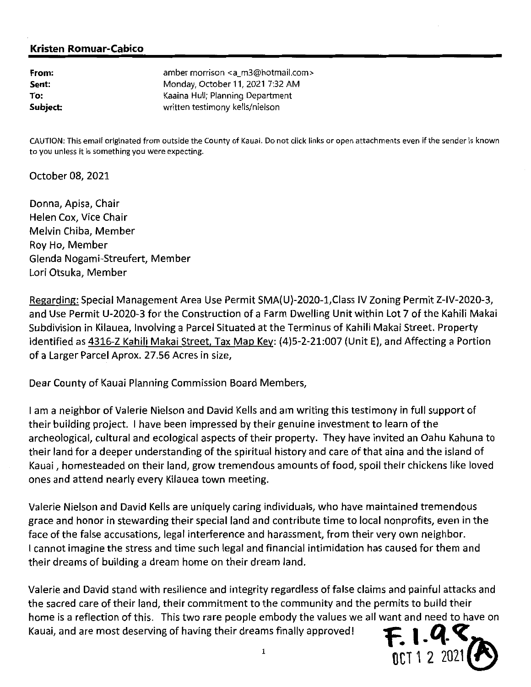| From:    | amber morrison <a_m3@hotmail.com></a_m3@hotmail.com> |
|----------|------------------------------------------------------|
| Sent:    | Monday, October 11, 2021 7:32 AM                     |
| To:      | Kaaina Hull; Planning Department                     |
| Subject: | written testimony kells/nielson                      |

CAUTION: This emaif originated from outside the County of Kauai. Do not click links or open attachments even if the sender is known to you unless it is something you were expecting.

October 08, 2021

Donna, Apisa, Chair Helen Cox, Vice Chair Melvin Chiba, Member Roy Ho, Member Glenda Nogami-Streufert, Member Lori Otsuka, Member

Regarding: Special Management Area Use Permit SMA(U)-2020-1, Class IV Zoning Permit Z-IV-2020-3, and Use Permit U-2020-3 for the Construction of <sup>a</sup> Farm Dwelling Unit within Lot 7 of the Kahili Makai Subdivision in Kilauea, Involving <sup>a</sup> Parcel Situated at the Terminus of Kahili Makai Street. Property Identified as 4316-Z Kahili Makai Street, Tax Map Key: (4)5-2-21:007 (Unit E), and Affecting a Portion of a Larger Parcel Aprox. 27.56 Acres in size,

Dear County of Kauai Planning Commission Board Members,

<sup>1</sup> am <sup>a</sup> neighbor of Valerie Nielson and David Kells and am writing this testimony in full support of their building project. <sup>1</sup> have been impressed by their genuine investment to learn of the archeological, cultural and ecological aspects of their property. They have invited an Oahu Kahuna to their land for <sup>a</sup> deeper understanding of the spiritual history and care of that aina and the island of Kauai, homesteaded on their land, grow tremendous amounts of food, spoil their chickens like loved ones and attend nearly every Kilauea town meeting.

Valerie Nielson and David Kells are uniquely caring individuals, who have maintained tremendous grace and honor in stewarding their special land and contribute time to local nonprofits, even in the face of the false accusations, legal interference and harassment, from their very own neighbor. <sup>1</sup> cannot imagine the stress and time such legal and financial intimidation has caused for them and their dreams of building <sup>a</sup> dream home on their dream land.

Valerie and David stand with resilience and integrity regardless offalse claims and painful attacks and the sacred care of their land, their commitment to the community and the permits to build their home is <sup>a</sup> reflection of this. This two rare people embody the values we all want and need to have on Kauai, and are most deserving of having their dreams finally approved!